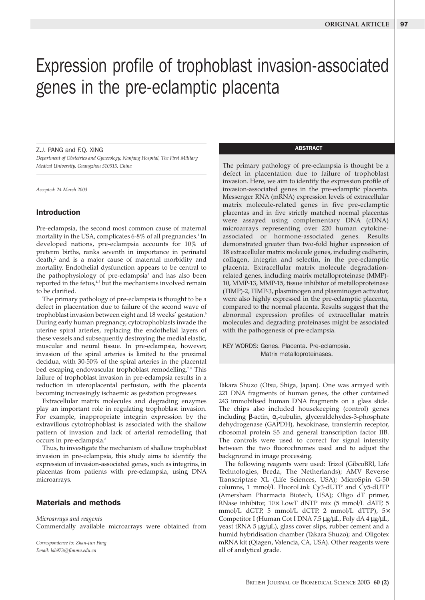# Expression profile of trophoblast invasion-associated genes in the pre-eclamptic placenta

Z.J. PANG and F.Q. XING

*Department of Obstetrics and Gynecology, Nanfang Hospital, The First Military Medical University, Guangzhou 510515, China*

*Accepted: 24 March 2003*

# Introduction

Pre-eclampsia, the second most common cause of maternal mortality in the USA, complicates 6-8% of all pregnancies.<sup>1</sup> In developed nations, pre-eclampsia accounts for 10% of preterm births, ranks seventh in importance in perinatal death,<sup>2</sup> and is a major cause of maternal morbidity and mortality. Endothelial dysfunction appears to be central to the pathophysiology of pre-eclampsia<sup>3</sup> and has also been reported in the fetus,<sup>4,5</sup> but the mechanisms involved remain to be clarified.

The primary pathology of pre-eclampsia is thought to be a defect in placentation due to failure of the second wave of trophoblast invasion between eight and 18 weeks' gestation.<sup>6</sup> During early human pregnancy, cytotrophoblasts invade the uterine spiral arteries, replacing the endothelial layers of these vessels and subsequently destroying the medial elastic, muscular and neural tissue. In pre-eclampsia, however, invasion of the spiral arteries is limited to the proximal decidua, with 30-50% of the spiral arteries in the placental bed escaping endovascular trophoblast remodelling.<sup>7,8</sup> This failure of trophoblast invasion in pre-eclampsia results in a reduction in uteroplacental perfusion, with the placenta becoming increasingly ischaemic as gestation progresses.

Extracellular matrix molecules and degrading enzymes play an important role in regulating trophoblast invasion. For example, inappropriate integrin expression by the extravillous cytotrophoblast is associated with the shallow pattern of invasion and lack of arterial remodelling that occurs in pre-eclampsia.<sup>8</sup>

Thus, to investigate the mechanism of shallow trophoblast invasion in pre-eclampsia, this study aims to identify the expression of invasion-associated genes, such as integrins, in placentas from patients with pre-eclampsia, using DNA microarrays.

# Materials and methods

*Microarrays and reagents* Commercially available microarrays were obtained from

*Correspondence to: Zhan-Jun Pang Email: lab973@fimmu.edu.cn*

# **ABSTRACT**

The primary pathology of pre-eclampsia is thought be a defect in placentation due to failure of trophoblast invasion. Here, we aim to identify the expression profile of invasion-associated genes in the pre-eclamptic placenta. Messenger RNA (mRNA) expression levels of extracellular matrix molecule-related genes in five pre-eclamptic placentas and in five strictly matched normal placentas were assayed using complementary DNA (cDNA) microarrays representing over 220 human cytokineassociated or hormone-associated genes. Results demonstrated greater than two-fold higher expression of 18 extracellular matrix molecule genes, including cadherin, collagen, integrin and selectin, in the pre-eclamptic placenta. Extracellular matrix molecule degradationrelated genes, including matrix metalloproteinase (MMP)- 10, MMP-13, MMP-15, tissue inhibitor of metalloproteinase (TIMP)-2, TIMP-3, plasminogen and plasminogen activator, were also highly expressed in the pre-eclamptic placenta, compared to the normal placenta. Results suggest that the abnormal expression profiles of extracellular matrix molecules and degrading proteinases might be associated with the pathogenesis of pre-eclampsia.

KEY WORDS: Genes. Placenta. Pre-eclampsia. Matrix metalloproteinases.

Takara Shuzo (Otsu, Shiga, Japan). One was arrayed with 221 DNA fragments of human genes, the other contained 243 immobilised human DNA fragments on a glass slide. The chips also included housekeeping (control) genes including β-actin,  $\alpha_{\text{2}}$ -tubulin, glyceraldehydes-3-phosphate dehydrogenase (GAPDH), hexokinase, transferrin receptor, ribosomal protein S5 and general transcription factor IIB. The controls were used to correct for signal intensity between the two fluorochromes used and to adjust the background in image processing.

The following reagents were used: Trizol (GibcoBRl, Life Technologies, Breda, The Netherlands); AMV Reverse Transcriptase XL (Life Sciences, USA); MicroSpin G-50 columns, 1 mmol/L FluoroLink Cy3-dUTP and Cy5-dUTP (Amersham Pharmacia Biotech, USA); Oligo dT primer, RNase inhibitor, 10× LowT dNTP mix (5 mmol/L dATP, 5 mmol/L dGTP, 5 mmol/L dCTP, 2 mmol/L dTTP), 5× Competitor I (Human Cot I DNA 7.5 µg/µL, Poly dA 4 µg/µL, yeast tRNA 5 µg/µL), glass cover slips, rubber cement and a humid hybridisation chamber (Takara Shuzo); and Oligotex mRNA kit (Qiagen, Valencia, CA, USA). Other reagents were all of analytical grade.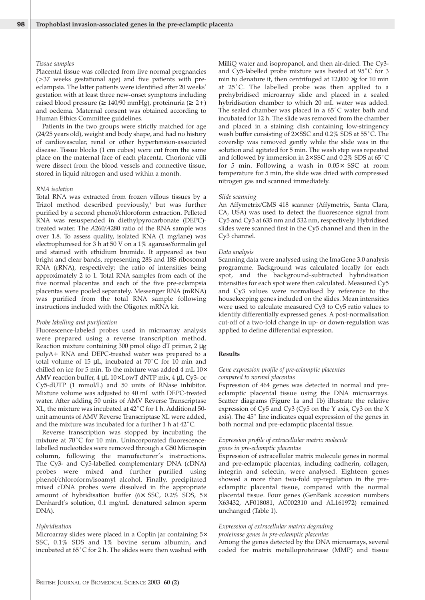#### *Tissue samples*

Placental tissue was collected from five normal pregnancies (>37 weeks gestational age) and five patients with preeclampsia. The latter patients were identified after 20 weeks' gestation with at least three new-onset symptoms including raised blood pressure ( $\geq 140/90$  mmHg), proteinuria ( $\geq 2+$ ) and oedema. Maternal consent was obtained according to Human Ethics Committee guidelines.

Patients in the two groups were strictly matched for age (24/25 years old), weight and body shape, and had no history of cardiovascular, renal or other hypertension-associated disease. Tissue blocks (1 cm cubes) were cut from the same place on the maternal face of each placenta. Chorionic villi were dissect from the blood vessels and connective tissue, stored in liquid nitrogen and used within a month.

#### *RNA isolation*

Total RNA was extracted from frozen villous tissues by a Trizol method described previously, $9$  but was further purified by a second phenol/chloroform extraction. Pelleted RNA was resuspended in diethylpyrocarbonate (DEPC) treated water. The *A*260/*A*280 ratio of the RNA sample was over 1.8. To assess quality, isolated RNA (1 mg/lane) was electrophoresed for 3 h at 50 V on a 1% agarose/formalin gel and stained with ethidium bromide. It appeared as two bright and clear bands, representing 28S and 18S ribosomal RNA (rRNA), respectively; the ratio of intensities being approximately 2 to 1. Total RNA samples from each of the five normal placentas and each of the five pre-eclampsia placentas were pooled separately. Messenger RNA (mRNA) was purified from the total RNA sample following instructions included with the Oligotex mRNA kit.

#### *Probe labelling and purification*

Fluorescence-labeled probes used in microarray analysis were prepared using a reverse transcription method. Reaction mixture containing 300 pmol oligo dT primer, 2 µg polyA+ RNA and DEPC-treated water was prepared to a total volume of 15 µL, incubated at 70˚C for 10 min and chilled on ice for 5 min. To the mixture was added 4 mL 10× AMV reaction buffer, 4 µL 10× LowT dNTP mix, 4 µL Cy3- or Cy5-dUTP (1 mmol/L) and 50 units of RNase inhibitor. Mixture volume was adjusted to 40 mL with DEPC-treated water. After adding 50 units of AMV Reverse Transcriptase XL, the mixture was incubated at 42˚C for 1 h. Additional 50 unit amounts of AMV Reverse Transcriptase XL were added, and the mixture was incubated for a further 1 h at 42˚C.

Reverse transcription was stopped by incubating the mixture at 70˚C for 10 min. Unincorporated fluorescencelabelled nucleotides were removed through a G50 Microspin column, following the manufacturer's instructions. The Cy3- and Cy5-labelled complementary DNA (cDNA) probes were mixed and further purified using phenol/chloroform/isoamyl alcohol. Finally, precipitated mixed cDNA probes were dissolved in the appropriate amount of hybridisation buffer (6× SSC, 0.2% SDS, 5× Denhardt's solution, 0.1 mg/mL denatured salmon sperm DNA).

#### *Hybridisation*

Microarray slides were placed in a Coplin jar containing 5× SSC, 0.1% SDS and 1% bovine serum albumin, and incubated at 65˚C for 2 h. The slides were then washed with

MilliQ water and isopropanol, and then air-dried. The Cy3 and Cy5-labelled probe mixture was heated at 95˚C for 3 min to denature it, then centrifuged at 12,000 ×*g* for 10 min at 25˚C. The labelled probe was then applied to a prehybridised microarray slide and placed in a sealed hybridisation chamber to which 20 mL water was added. The sealed chamber was placed in a 65˚C water bath and incubated for 12 h. The slide was removed from the chamber and placed in a staining dish containing low-stringency wash buffer consisting of 2× SSC and 0.2% SDS at 55˚C. The coverslip was removed gently while the slide was in the solution and agitated for 5 min. The wash step was repeated and followed by immersion in 2× SSC and 0.2% SDS at 65˚C for 5 min. Following a wash in 0.05× SSC at room temperature for 5 min, the slide was dried with compressed nitrogen gas and scanned immediately.

#### *Slide scanning*

An Affymetrix/GMS 418 scanner (Affymetrix, Santa Clara, CA, USA) was used to detect the fluorescence signal from Cy5 and Cy3 at 635 nm and 532 nm, respectively. Hybridised slides were scanned first in the Cy5 channel and then in the Cy3 channel.

#### *Data analysis*

Scanning data were analysed using the ImaGene 3.0 analysis programme. Background was calculated locally for each spot, and the background-subtracted hybridisation intensities for each spot were then calculated. Measured Cy5 and Cy3 values were normalised by reference to the housekeeping genes included on the slides. Mean intensities were used to calculate measured Cy3 to Cy5 ratio values to identify differentially expressed genes. A post-normalisation cut-off of a two-fold change in up- or down-regulation was applied to define differential expression.

## **Results**

## *Gene expression profile of pre-eclamptic placentas compared to normal placentas*

Expression of 464 genes was detected in normal and preeclamptic placental tissue using the DNA microarrays. Scatter diagrams (Figure 1a and 1b) illustrate the relative expression of Cy5 and Cy3 (Cy5 on the Y axis, Cy3 on the X axis). The 45˚ line indicates equal expression of the genes in both normal and pre-eclamptic placental tissue.

## *Expression profile of extracellular matrix molecule genes in pre-eclamptic placentas*

Expression of extracellular matrix molecule genes in normal and pre-eclamptic placentas, including cadherin, collagen, integrin and selectin, were analysed. Eighteen genes showed a more than two-fold up-regulation in the preeclamptic placental tissue, compared with the normal placental tissue. Four genes (GenBank accession numbers X63432, AF018081, AC002310 and AL161972) remained unchanged (Table 1).

## *Expression of extracellular matrix degrading*

*proteinase genes in pre-eclamptic placentas*

Among the genes detected by the DNA microarrays, several coded for matrix metalloproteinase (MMP) and tissue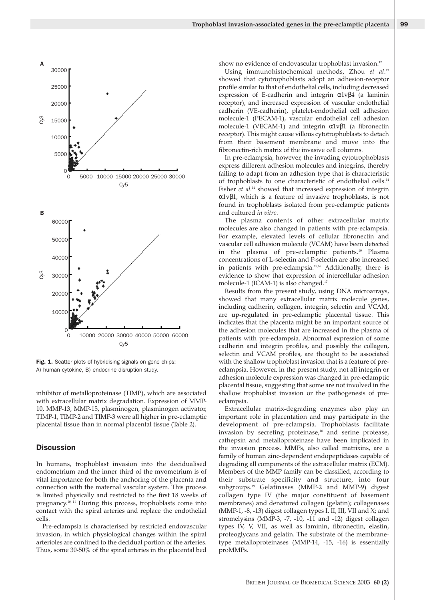

Fig. 1. Scatter plots of hybridising signals on gene chips: A) human cytokine, B) endocrine disruption study.

inhibitor of metalloproteinase (TIMP), which are associated with extracellular matrix degradation. Expression of MMP-10, MMP-13, MMP-15, plasminogen, plasminogen activator, TIMP-1, TIMP-2 and TIMP-3 were all higher in pre-eclamptic placental tissue than in normal placental tissue (Table 2).

### **Discussion**

In humans, trophoblast invasion into the decidualised endometrium and the inner third of the myometrium is of vital importance for both the anchoring of the placenta and connection with the maternal vascular system. This process is limited physically and restricted to the first 18 weeks of pregnancy.10, 11 During this process, trophoblasts come into contact with the spiral arteries and replace the endothelial cells.

Pre-eclampsia is characterised by restricted endovascular invasion, in which physiological changes within the spiral arterioles are confined to the decidual portion of the arteries. Thus, some 30-50% of the spiral arteries in the placental bed show no evidence of endovascular trophoblast invasion.<sup>12</sup>

Using immunohistochemical methods, Zhou *et al*. 13 showed that cytotrophoblasts adopt an adhesion-receptor profile similar to that of endothelial cells, including decreased expression of E-cadherin and integrin α1vβ4 (a laminin receptor), and increased expression of vascular endothelial cadherin (VE-cadherin), platelet-endothelial cell adhesion molecule-1 (PECAM-1), vascular endothelial cell adhesion molecule-1 (VECAM-1) and integrin  $\alpha 1v\beta 1$  (a fibronectin receptor). This might cause villous cytotrophoblasts to detach from their basement membrane and move into the fibronectin-rich matrix of the invasive cell columns.

In pre-eclampsia, however, the invading cytotrophoblasts express different adhesion molecules and integrins, thereby failing to adapt from an adhesion type that is characteristic of trophoblasts to one characteristic of endothelial cells.<sup>14</sup> Fisher *et al*. <sup>14</sup> showed that increased expression of integrin α1vβ1, which is a feature of invasive trophoblasts, is not found in trophoblasts isolated from pre-eclamptic patients and cultured *in vitro*.

The plasma contents of other extracellular matrix molecules are also changed in patients with pre-eclampsia. For example, elevated levels of cellular fibronectin and vascular cell adhesion molecule (VCAM) have been detected in the plasma of pre-eclamptic patients.<sup>10</sup> Plasma concentrations of L-selectin and P-selectin are also increased in patients with pre-eclampsia.15,16 Additionally, there is evidence to show that expression of intercellular adhesion molecule-1 (ICAM-1) is also changed.<sup>17</sup>

Results from the present study, using DNA microarrays, showed that many extracellular matrix molecule genes, including cadherin, collagen, integrin, selectin and VCAM, are up-regulated in pre-eclamptic placental tissue. This indicates that the placenta might be an important source of the adhesion molecules that are increased in the plasma of patients with pre-eclampsia. Abnormal expression of some cadherin and integrin profiles, and possibly the collagen, selectin and VCAM profiles, are thought to be associated with the shallow trophoblast invasion that is a feature of preeclampsia. However, in the present study, not all integrin or adhesion molecule expression was changed in pre-eclamptic placental tissue, suggesting that some are not involved in the shallow trophoblast invasion or the pathogenesis of preeclampsia.

Extracellular matrix-degrading enzymes also play an important role in placentation and may participate in the development of pre-eclampsia. Trophoblasts facilitate invasion by secreting proteinase,<sup>18</sup> and serine protease, cathepsin and metalloproteinase have been implicated in the invasion process. MMPs, also called matrixins, are a family of human zinc-dependent endopeptidases capable of degrading all components of the extracellular matrix (ECM). Members of the MMP family can be classified, according to their substrate specificity and structure, into four subgroups.19 Gelatinases (MMP-2 and MMP-9) digest collagen type IV (the major constituent of basement membranes) and denatured collagen (gelatin); collagenases (MMP-1, -8, -13) digest collagen types I, II, III, VII and X; and stromelysins (MMP-3, -7, -10, -11 and -12) digest collagen types IV, V, VII, as well as laminin, fibronectin, elastin, proteoglycans and gelatin. The substrate of the membranetype metalloproteinases (MMP-14, -15, -16) is essentially proMMPs.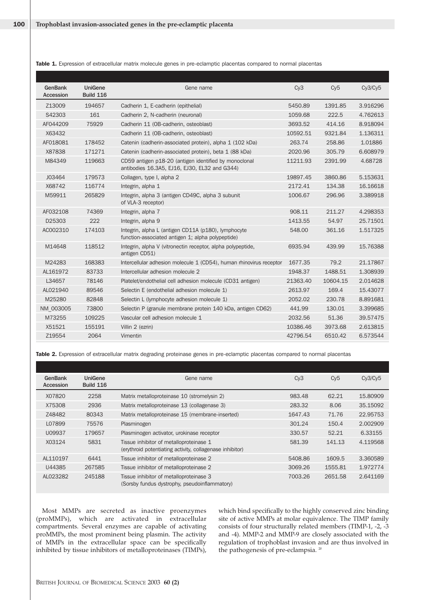| <b>GenBank</b><br>Accession | <b>UniGene</b><br><b>Build 116</b> | Gene name                                                                                                | Cv3      | Cv5      | Cy3/Cy5  |
|-----------------------------|------------------------------------|----------------------------------------------------------------------------------------------------------|----------|----------|----------|
| Z13009                      | 194657                             | Cadherin 1, E-cadherin (epithelial)                                                                      | 5450.89  | 1391.85  | 3.916296 |
| S42303                      | 161                                | Cadherin 2, N-cadherin (neuronal)                                                                        | 1059.68  | 222.5    | 4.762613 |
| AF044209                    | 75929                              | Cadherin 11 (OB-cadherin, osteoblast)                                                                    | 3693.52  | 414.16   | 8.918094 |
| X63432                      |                                    | Cadherin 11 (OB-cadherin, osteoblast)                                                                    | 10592.51 | 9321.84  | 1.136311 |
| AF018081                    | 178452                             | Catenin (cadherin-associated protein), alpha 1 (102 kDa)                                                 | 263.74   | 258.86   | 1.01886  |
| X87838                      | 171271                             | Catenin (cadherin-associated protein), beta 1 (88 kDa)                                                   | 2020.96  | 305.79   | 6.608979 |
| M84349                      | 119663                             | CD59 antigen p18-20 (antigen identified by monoclonal<br>antibodies 16.3A5, EJ16, EJ30, EL32 and G344)   | 11211.93 | 2391.99  | 4.68728  |
| J03464                      | 179573                             | Collagen, type I, alpha 2                                                                                | 19897.45 | 3860.86  | 5.153631 |
| X68742                      | 116774                             | Integrin, alpha 1                                                                                        | 2172.41  | 134.38   | 16.16618 |
| M59911                      | 265829                             | Integrin, alpha 3 (antigen CD49C, alpha 3 subunit<br>of VLA-3 receptor)                                  | 1006.67  | 296.96   | 3.389918 |
| AF032108                    | 74369                              | Integrin, alpha 7                                                                                        | 908.11   | 211.27   | 4.298353 |
| D25303                      | 222                                | Integrin, alpha 9                                                                                        | 1413.55  | 54.97    | 25.71501 |
| AC002310                    | 174103                             | Integrin, alpha L (antigen CD11A (p180), lymphocyte<br>function-associated antigen 1; alpha polypeptide) | 548.00   | 361.16   | 1.517325 |
| M14648                      | 118512                             | Integrin, alpha V (vitronectin receptor, alpha polypeptide,<br>antigen CD51)                             | 6935.94  | 439.99   | 15,76388 |
| M24283                      | 168383                             | Intercellular adhesion molecule 1 (CD54), human rhinovirus receptor                                      | 1677.35  | 79.2     | 21.17867 |
| AL161972                    | 83733                              | Intercellular adhesion molecule 2                                                                        | 1948.37  | 1488.51  | 1.308939 |
| L34657                      | 78146                              | Platelet/endothelial cell adhesion molecule (CD31 antigen)                                               | 21363.40 | 10604.15 | 2.014628 |
| AL021940                    | 89546                              | Selectin E (endothelial adhesion molecule 1)                                                             | 2613.97  | 169.4    | 15,43077 |
| M25280                      | 82848                              | Selectin L (lymphocyte adhesion molecule 1)                                                              | 2052.02  | 230.78   | 8.891681 |
| NM 003005                   | 73800                              | Selectin P (granule membrane protein 140 kDa, antigen CD62)                                              | 441.99   | 130.01   | 3.399685 |
| M73255                      | 109225                             | Vascular cell adhesion molecule 1                                                                        | 2032.56  | 51.36    | 39.57475 |
| X51521                      | 155191                             | Villin 2 (ezrin)                                                                                         | 10386.46 | 3973.68  | 2.613815 |
| Z19554                      | 2064                               | Vimentin                                                                                                 | 42796.54 | 6510.42  | 6.573544 |

Table 1. Expression of extracellular matrix molecule genes in pre-eclamptic placentas compared to normal placentas

Table 2. Expression of extracellular matrix degrading proteinase genes in pre-eclamptic placentas compared to normal placentas

| GenBank<br>Accession | <b>UniGene</b><br><b>Build 116</b> | Gene name                                                                                           | C <sub>V</sub> 3 | Cv <sub>5</sub> | Cy3/Cy5  |
|----------------------|------------------------------------|-----------------------------------------------------------------------------------------------------|------------------|-----------------|----------|
| X07820               | 2258                               | Matrix metalloproteinase 10 (stromelysin 2)                                                         | 983.48           | 62.21           | 15,80909 |
| X75308               | 2936                               | Matrix metalloproteinase 13 (collagenase 3)                                                         | 283.32           | 8.06            | 35.15092 |
| Z48482               | 80343                              | Matrix metalloproteinase 15 (membrane-inserted)                                                     | 1647.43          | 71.76           | 22,95753 |
| L07899               | 75576                              | Plasminogen                                                                                         | 301.24           | 150.4           | 2.002909 |
| U09937               | 179657                             | Plasminogen activator, urokinase receptor                                                           | 330.57           | 52.21           | 6.33155  |
| X03124               | 5831                               | Tissue inhibitor of metalloproteinase 1<br>(erythroid potentiating activity, collagenase inhibitor) | 581.39           | 141.13          | 4.119568 |
| AL110197             | 6441                               | Tissue inhibitor of metalloproteinase 2                                                             | 5408.86          | 1609.5          | 3.360589 |
| U44385               | 267585                             | Tissue inhibitor of metalloproteinase 2                                                             | 3069.26          | 1555.81         | 1.972774 |
| AL023282             | 245188                             | Tissue inhibitor of metalloproteinase 3<br>(Sorsby fundus dystrophy, pseudoinflammatory)            | 7003.26          | 2651.58         | 2.641169 |

Most MMPs are secreted as inactive proenzymes (proMMPs), which are activated in extracellular compartments. Several enzymes are capable of activating proMMPs, the most prominent being plasmin. The activity of MMPs in the extracellular space can be specifically inhibited by tissue inhibitors of metalloproteinases (TIMPs),

which bind specifically to the highly conserved zinc binding site of active MMPs at molar equivalence. The TIMP family consists of four structurally related members (TIMP-1, -2, -3 and -4). MMP-2 and MMP-9 are closely associated with the regulation of trophoblast invasion and are thus involved in the pathogenesis of pre-eclampsia.<sup>20</sup>